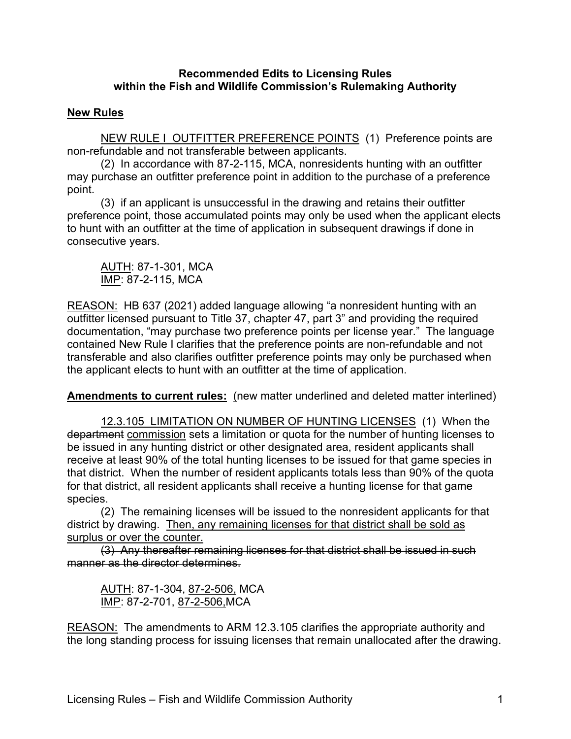## **Recommended Edits to Licensing Rules within the Fish and Wildlife Commission's Rulemaking Authority**

## **New Rules**

NEW RULE I OUTFITTER PREFERENCE POINTS (1) Preference points are non-refundable and not transferable between applicants.

(2) In accordance with 87-2-115, MCA, nonresidents hunting with an outfitter may purchase an outfitter preference point in addition to the purchase of a preference point.

(3) if an applicant is unsuccessful in the drawing and retains their outfitter preference point, those accumulated points may only be used when the applicant elects to hunt with an outfitter at the time of application in subsequent drawings if done in consecutive years.

AUTH: 87-1-301, MCA IMP: 87-2-115, MCA

REASON: HB 637 (2021) added language allowing "a nonresident hunting with an outfitter licensed pursuant to Title 37, chapter 47, part 3" and providing the required documentation, "may purchase two preference points per license year." The language contained New Rule I clarifies that the preference points are non-refundable and not transferable and also clarifies outfitter preference points may only be purchased when the applicant elects to hunt with an outfitter at the time of application.

**Amendments to current rules:** (new matter underlined and deleted matter interlined)

12.3.105 LIMITATION ON NUMBER OF HUNTING LICENSES (1) When the department commission sets a limitation or quota for the number of hunting licenses to be issued in any hunting district or other designated area, resident applicants shall receive at least 90% of the total hunting licenses to be issued for that game species in that district. When the number of resident applicants totals less than 90% of the quota for that district, all resident applicants shall receive a hunting license for that game species.

(2) The remaining licenses will be issued to the nonresident applicants for that district by drawing. Then, any remaining licenses for that district shall be sold as surplus or over the counter.

(3) Any thereafter remaining licenses for that district shall be issued in such manner as the director determines.

AUTH: 87-1-304, 87-2-506, MCA IMP: 87-2-701, 87-2-506,MCA

REASON: The amendments to ARM 12.3.105 clarifies the appropriate authority and the long standing process for issuing licenses that remain unallocated after the drawing.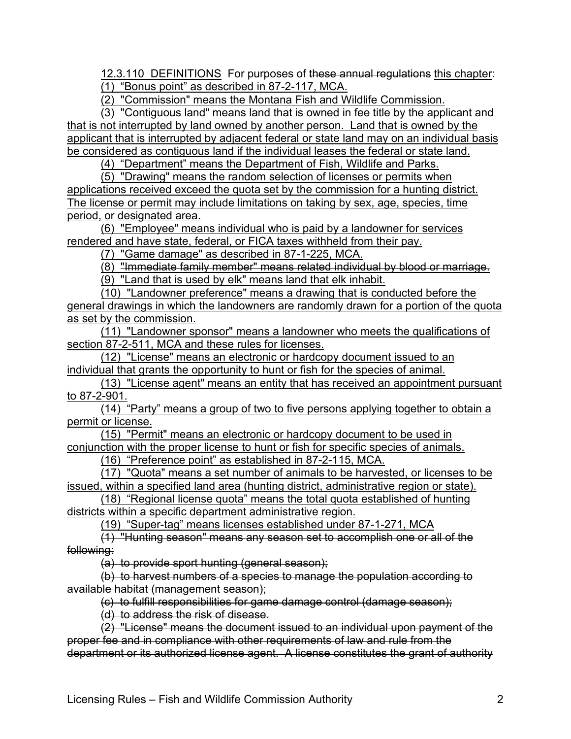12.3.110 DEFINITIONS For purposes of these annual regulations this chapter: (1) "Bonus point" as described in 87-2-117, MCA.

(2) "Commission" means the Montana Fish and Wildlife Commission.

(3) "Contiguous land" means land that is owned in fee title by the applicant and that is not interrupted by land owned by another person. Land that is owned by the applicant that is interrupted by adjacent federal or state land may on an individual basis be considered as contiguous land if the individual leases the federal or state land.

(4) "Department" means the Department of Fish, Wildlife and Parks.

(5) "Drawing" means the random selection of licenses or permits when applications received exceed the quota set by the commission for a hunting district. The license or permit may include limitations on taking by sex, age, species, time period, or designated area.

(6) "Employee" means individual who is paid by a landowner for services rendered and have state, federal, or FICA taxes withheld from their pay.

(7) "Game damage" as described in 87-1-225, MCA.

(8) "Immediate family member" means related individual by blood or marriage.

(9) "Land that is used by elk" means land that elk inhabit.

(10) "Landowner preference" means a drawing that is conducted before the general drawings in which the landowners are randomly drawn for a portion of the quota as set by the commission.

(11) "Landowner sponsor" means a landowner who meets the qualifications of section 87-2-511, MCA and these rules for licenses.

(12) "License" means an electronic or hardcopy document issued to an individual that grants the opportunity to hunt or fish for the species of animal.

(13) "License agent" means an entity that has received an appointment pursuant to 87-2-901.

(14) "Party" means a group of two to five persons applying together to obtain a permit or license.

(15) "Permit" means an electronic or hardcopy document to be used in conjunction with the proper license to hunt or fish for specific species of animals.

(16) "Preference point" as established in 87-2-115, MCA.

(17) "Quota" means a set number of animals to be harvested, or licenses to be issued, within a specified land area (hunting district, administrative region or state).

(18) "Regional license quota" means the total quota established of hunting districts within a specific department administrative region.

(19) "Super-tag" means licenses established under 87-1-271, MCA

(1) "Hunting season" means any season set to accomplish one or all of the following:

(a) to provide sport hunting (general season);

(b) to harvest numbers of a species to manage the population according to available habitat (management season);

(c) to fulfill responsibilities for game damage control (damage season);

(d) to address the risk of disease.

 $(2)$  "License" means the document issued to an individual upon payment of the proper fee and in compliance with other requirements of law and rule from the department or its authorized license agent. A license constitutes the grant of authority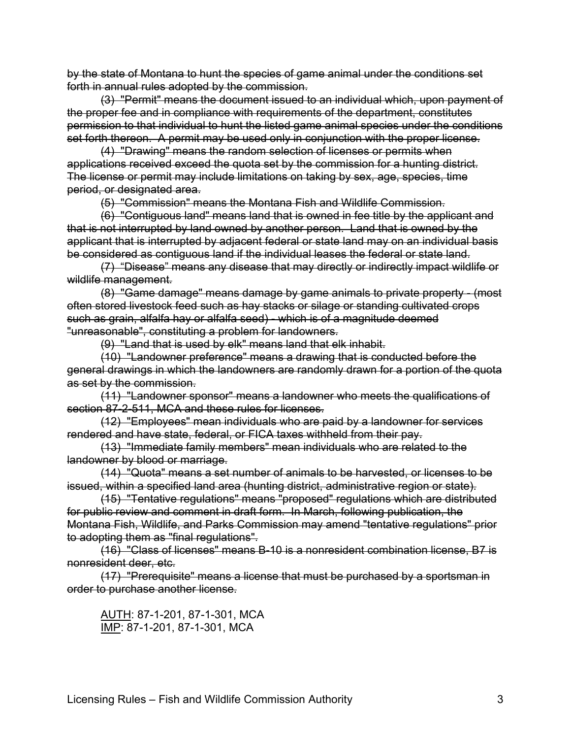by the state of Montana to hunt the species of game animal under the conditions set forth in annual rules adopted by the commission.

(3) "Permit" means the document issued to an individual which, upon payment of the proper fee and in compliance with requirements of the department, constitutes permission to that individual to hunt the listed game animal species under the conditions set forth thereon. A permit may be used only in conjunction with the proper license.

(4) "Drawing" means the random selection of licenses or permits when applications received exceed the quota set by the commission for a hunting district. The license or permit may include limitations on taking by sex, age, species, time period, or designated area.

(5) "Commission" means the Montana Fish and Wildlife Commission.

(6) "Contiguous land" means land that is owned in fee title by the applicant and that is not interrupted by land owned by another person. Land that is owned by the applicant that is interrupted by adjacent federal or state land may on an individual basis be considered as contiguous land if the individual leases the federal or state land.

(7) "Disease" means any disease that may directly or indirectly impact wildlife or wildlife management.

(8) "Game damage" means damage by game animals to private property - (most often stored livestock feed such as hay stacks or silage or standing cultivated crops such as grain, alfalfa hay or alfalfa seed) - which is of a magnitude deemed "unreasonable", constituting a problem for landowners.

(9) "Land that is used by elk" means land that elk inhabit.

(10) "Landowner preference" means a drawing that is conducted before the general drawings in which the landowners are randomly drawn for a portion of the quota as set by the commission.

(11) "Landowner sponsor" means a landowner who meets the qualifications of section 87-2-511, MCA and these rules for licenses.

(12) "Employees" mean individuals who are paid by a landowner for services rendered and have state, federal, or FICA taxes withheld from their pay.

(13) "Immediate family members" mean individuals who are related to the landowner by blood or marriage.

(14) "Quota" means a set number of animals to be harvested, or licenses to be issued, within a specified land area (hunting district, administrative region or state).

(15) "Tentative regulations" means "proposed" regulations which are distributed for public review and comment in draft form. In March, following publication, the Montana Fish, Wildlife, and Parks Commission may amend "tentative regulations" prior to adopting them as "final regulations".

(16) "Class of licenses" means B-10 is a nonresident combination license, B7 is nonresident deer, etc.

(17) "Prerequisite" means a license that must be purchased by a sportsman in order to purchase another license.

AUTH: 87-1-201, 87-1-301, MCA IMP: 87-1-201, 87-1-301, MCA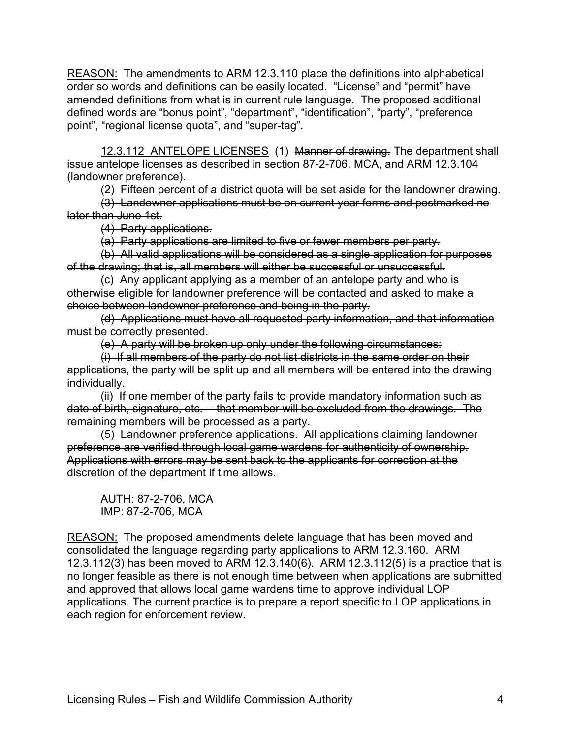REASON: The amendments to ARM 12.3.110 place the definitions into alphabetical order so words and definitions can be easily located. "License" and "permit" have amended definitions from what is in current rule language. The proposed additional defined words are "bonus point", "department", "identification", "party", "preference point", "regional license quota", and "super-tag".

12.3.112 ANTELOPE LICENSES (1) Manner of drawing. The department shall issue antelope licenses as described in section 87-2-706, MCA, and ARM 12.3.104 (landowner preference).

(2) Fifteen percent of a district quota will be set aside for the landowner drawing.

(3) Landowner applications must be on current year forms and postmarked no later than June 1st.

(4) Party applications.

(a) Party applications are limited to five or fewer members per party.

(b) All valid applications will be considered as a single application for purposes of the drawing; that is, all members will either be successful or unsuccessful.

(c) Any applicant applying as a member of an antelope party and who is otherwise eligible for landowner preference will be contacted and asked to make a choice between landowner preference and being in the party.

(d) Applications must have all requested party information, and that information must be correctly presented.

(e) A party will be broken up only under the following circumstances:

(i) If all members of the party do not list districts in the same order on their applications, the party will be split up and all members will be entered into the drawing individually.

(ii) If one member of the party fails to provide mandatory information such as date of birth, signature, etc. -- that member will be excluded from the drawings. The remaining members will be processed as a party.

(5) Landowner preference applications. All applications claiming landowner preference are verified through local game wardens for authenticity of ownership. Applications with errors may be sent back to the applicants for correction at the discretion of the department if time allows.

AUTH: 87-2-706, MCA IMP: 87-2-706, MCA

REASON: The proposed amendments delete language that has been moved and consolidated the language regarding party applications to ARM 12.3.160. ARM 12.3.112(3) has been moved to ARM 12.3.140(6). ARM 12.3.112(5) is a practice that is no longer feasible as there is not enough time between when applications are submitted and approved that allows local game wardens time to approve individual LOP applications. The current practice is to prepare a report specific to LOP applications in each region for enforcement review.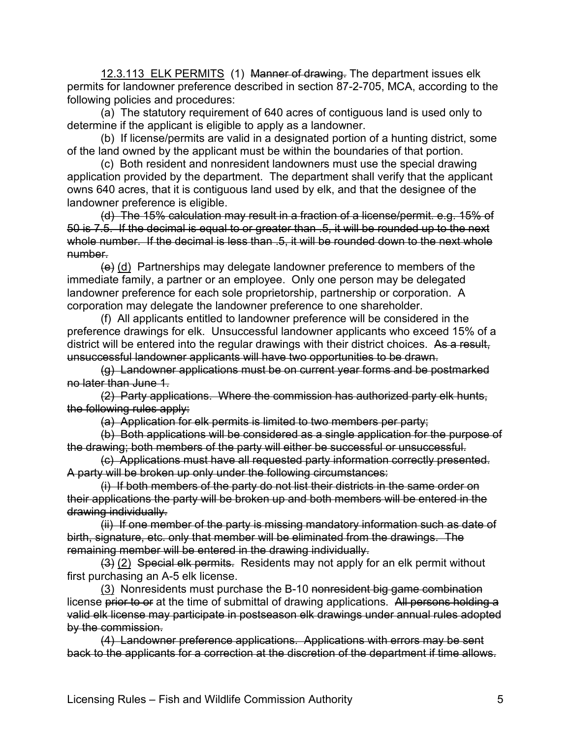12.3.113 ELK PERMITS (1) Manner of drawing. The department issues elk permits for landowner preference described in section 87-2-705, MCA, according to the following policies and procedures:

(a) The statutory requirement of 640 acres of contiguous land is used only to determine if the applicant is eligible to apply as a landowner.

(b) If license/permits are valid in a designated portion of a hunting district, some of the land owned by the applicant must be within the boundaries of that portion.

(c) Both resident and nonresident landowners must use the special drawing application provided by the department. The department shall verify that the applicant owns 640 acres, that it is contiguous land used by elk, and that the designee of the landowner preference is eligible.

(d) The 15% calculation may result in a fraction of a license/permit. e.g. 15% of 50 is 7.5. If the decimal is equal to or greater than .5, it will be rounded up to the next whole number. If the decimal is less than .5, it will be rounded down to the next whole number.

 $\left(\theta\right)$  (d) Partnerships may delegate landowner preference to members of the immediate family, a partner or an employee. Only one person may be delegated landowner preference for each sole proprietorship, partnership or corporation. A corporation may delegate the landowner preference to one shareholder.

(f) All applicants entitled to landowner preference will be considered in the preference drawings for elk. Unsuccessful landowner applicants who exceed 15% of a district will be entered into the regular drawings with their district choices. As a result, unsuccessful landowner applicants will have two opportunities to be drawn.

(g) Landowner applications must be on current year forms and be postmarked no later than June 1.

(2) Party applications. Where the commission has authorized party elk hunts, the following rules apply:

(a) Application for elk permits is limited to two members per party;

(b) Both applications will be considered as a single application for the purpose of the drawing; both members of the party will either be successful or unsuccessful.

(c) Applications must have all requested party information correctly presented. A party will be broken up only under the following circumstances:

(i) If both members of the party do not list their districts in the same order on their applications the party will be broken up and both members will be entered in the drawing individually.

(ii) If one member of the party is missing mandatory information such as date of birth, signature, etc. only that member will be eliminated from the drawings. The remaining member will be entered in the drawing individually.

(3) (2) Special elk permits. Residents may not apply for an elk permit without first purchasing an A-5 elk license.

(3) Nonresidents must purchase the B-10 nonresident big game combination license prior to or at the time of submittal of drawing applications. All persons holding a valid elk license may participate in postseason elk drawings under annual rules adopted by the commission.

(4) Landowner preference applications. Applications with errors may be sent back to the applicants for a correction at the discretion of the department if time allows.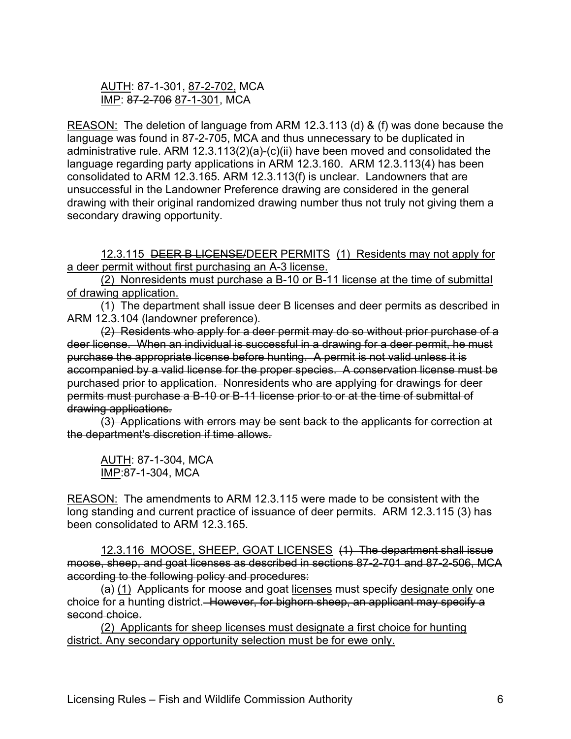## AUTH: 87-1-301, 87-2-702, MCA IMP: 87-2-706 87-1-301, MCA

REASON: The deletion of language from ARM 12.3.113 (d) & (f) was done because the language was found in 87-2-705, MCA and thus unnecessary to be duplicated in administrative rule. ARM 12.3.113(2)(a)-(c)(ii) have been moved and consolidated the language regarding party applications in ARM 12.3.160. ARM 12.3.113(4) has been consolidated to ARM 12.3.165. ARM 12.3.113(f) is unclear. Landowners that are unsuccessful in the Landowner Preference drawing are considered in the general drawing with their original randomized drawing number thus not truly not giving them a secondary drawing opportunity.

12.3.115 DEER B LICENSE/DEER PERMITS (1) Residents may not apply for a deer permit without first purchasing an A-3 license.

(2) Nonresidents must purchase a B-10 or B-11 license at the time of submittal of drawing application.

(1) The department shall issue deer B licenses and deer permits as described in ARM 12.3.104 (landowner preference).

(2) Residents who apply for a deer permit may do so without prior purchase of a deer license. When an individual is successful in a drawing for a deer permit, he must purchase the appropriate license before hunting. A permit is not valid unless it is accompanied by a valid license for the proper species. A conservation license must be purchased prior to application. Nonresidents who are applying for drawings for deer permits must purchase a B-10 or B-11 license prior to or at the time of submittal of drawing applications.

(3) Applications with errors may be sent back to the applicants for correction at the department's discretion if time allows.

AUTH: 87-1-304, MCA IMP:87-1-304, MCA

REASON: The amendments to ARM 12.3.115 were made to be consistent with the long standing and current practice of issuance of deer permits. ARM 12.3.115 (3) has been consolidated to ARM 12.3.165.

12.3.116 MOOSE, SHEEP, GOAT LICENSES (1) The department shall issue moose, sheep, and goat licenses as described in sections 87-2-701 and 87-2-506, MCA according to the following policy and procedures:

 $(a)$  (1) Applicants for moose and goat licenses must specify designate only one choice for a hunting district. However, for bighorn sheep, an applicant may specify a second choice.

(2) Applicants for sheep licenses must designate a first choice for hunting district. Any secondary opportunity selection must be for ewe only.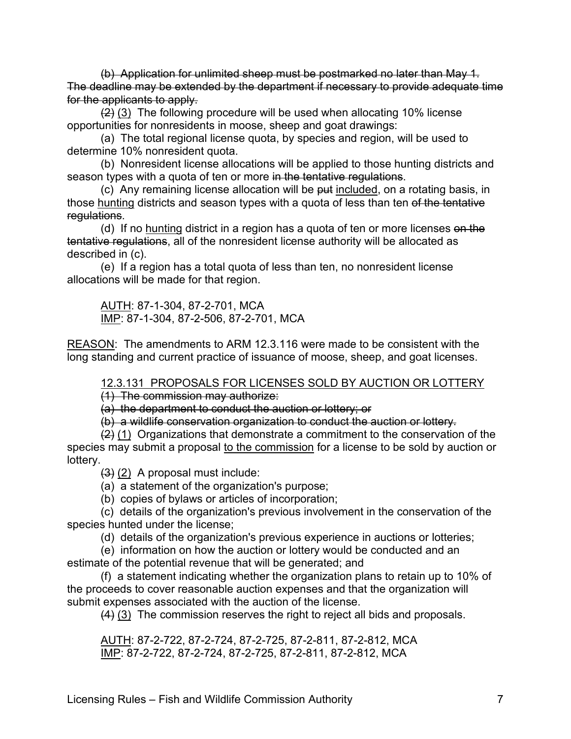(b) Application for unlimited sheep must be postmarked no later than May 1. The deadline may be extended by the department if necessary to provide adequate time for the applicants to apply.

 $(2)$  (3) The following procedure will be used when allocating 10% license opportunities for nonresidents in moose, sheep and goat drawings:

(a) The total regional license quota, by species and region, will be used to determine 10% nonresident quota.

(b) Nonresident license allocations will be applied to those hunting districts and season types with a quota of ten or more in the tentative regulations.

(c) Any remaining license allocation will be put included, on a rotating basis, in those hunting districts and season types with a quota of less than ten of the tentative regulations.

(d) If no hunting district in a region has a quota of ten or more licenses on the tentative regulations, all of the nonresident license authority will be allocated as described in (c).

(e) If a region has a total quota of less than ten, no nonresident license allocations will be made for that region.

AUTH: 87-1-304, 87-2-701, MCA IMP: 87-1-304, 87-2-506, 87-2-701, MCA

REASON: The amendments to ARM 12.3.116 were made to be consistent with the long standing and current practice of issuance of moose, sheep, and goat licenses.

12.3.131 PROPOSALS FOR LICENSES SOLD BY AUCTION OR LOTTERY (1) The commission may authorize:

(a) the department to conduct the auction or lottery; or

(b) a wildlife conservation organization to conduct the auction or lottery.

 $\frac{1}{2}$  (1) Organizations that demonstrate a commitment to the conservation of the species may submit a proposal to the commission for a license to be sold by auction or lottery.

 $(3)$   $(2)$  A proposal must include:

(a) a statement of the organization's purpose;

(b) copies of bylaws or articles of incorporation;

(c) details of the organization's previous involvement in the conservation of the species hunted under the license;

(d) details of the organization's previous experience in auctions or lotteries;

(e) information on how the auction or lottery would be conducted and an estimate of the potential revenue that will be generated; and

(f) a statement indicating whether the organization plans to retain up to 10% of the proceeds to cover reasonable auction expenses and that the organization will submit expenses associated with the auction of the license.

(4) (3) The commission reserves the right to reject all bids and proposals.

AUTH: 87-2-722, 87-2-724, 87-2-725, 87-2-811, 87-2-812, MCA IMP: 87-2-722, 87-2-724, 87-2-725, 87-2-811, 87-2-812, MCA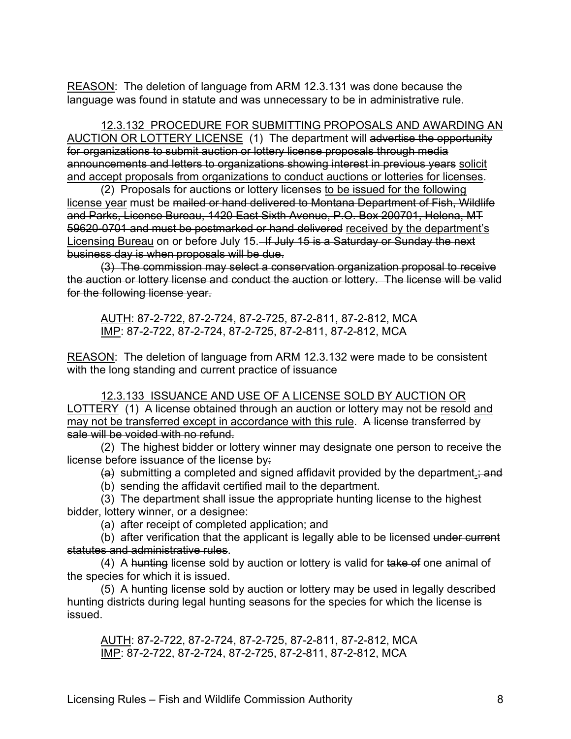REASON: The deletion of language from ARM 12.3.131 was done because the language was found in statute and was unnecessary to be in administrative rule.

12.3.132 PROCEDURE FOR SUBMITTING PROPOSALS AND AWARDING AN AUCTION OR LOTTERY LICENSE (1) The department will advertise the opportunity for organizations to submit auction or lottery license proposals through media announcements and letters to organizations showing interest in previous years solicit and accept proposals from organizations to conduct auctions or lotteries for licenses.

(2) Proposals for auctions or lottery licenses to be issued for the following license year must be mailed or hand delivered to Montana Department of Fish, Wildlife and Parks, License Bureau, 1420 East Sixth Avenue, P.O. Box 200701, Helena, MT 59620-0701 and must be postmarked or hand delivered received by the department's Licensing Bureau on or before July 15.–If July 15 is a Saturday or Sunday the next business day is when proposals will be due.

(3) The commission may select a conservation organization proposal to receive the auction or lottery license and conduct the auction or lottery. The license will be valid for the following license year.

AUTH: 87-2-722, 87-2-724, 87-2-725, 87-2-811, 87-2-812, MCA IMP: 87-2-722, 87-2-724, 87-2-725, 87-2-811, 87-2-812, MCA

REASON: The deletion of language from ARM 12.3.132 were made to be consistent with the long standing and current practice of issuance

12.3.133 ISSUANCE AND USE OF A LICENSE SOLD BY AUCTION OR LOTTERY (1) A license obtained through an auction or lottery may not be resold and may not be transferred except in accordance with this rule. A license transferred by sale will be voided with no refund.

(2) The highest bidder or lottery winner may designate one person to receive the license before issuance of the license by:

 $(a)$  submitting a completed and signed affidavit provided by the department. and (b) sending the affidavit certified mail to the department.

(3) The department shall issue the appropriate hunting license to the highest bidder, lottery winner, or a designee:

(a) after receipt of completed application; and

(b) after verification that the applicant is legally able to be licensed under current statutes and administrative rules.

(4) A hunting license sold by auction or lottery is valid for take of one animal of the species for which it is issued.

(5) A hunting license sold by auction or lottery may be used in legally described hunting districts during legal hunting seasons for the species for which the license is issued.

AUTH: 87-2-722, 87-2-724, 87-2-725, 87-2-811, 87-2-812, MCA IMP: 87-2-722, 87-2-724, 87-2-725, 87-2-811, 87-2-812, MCA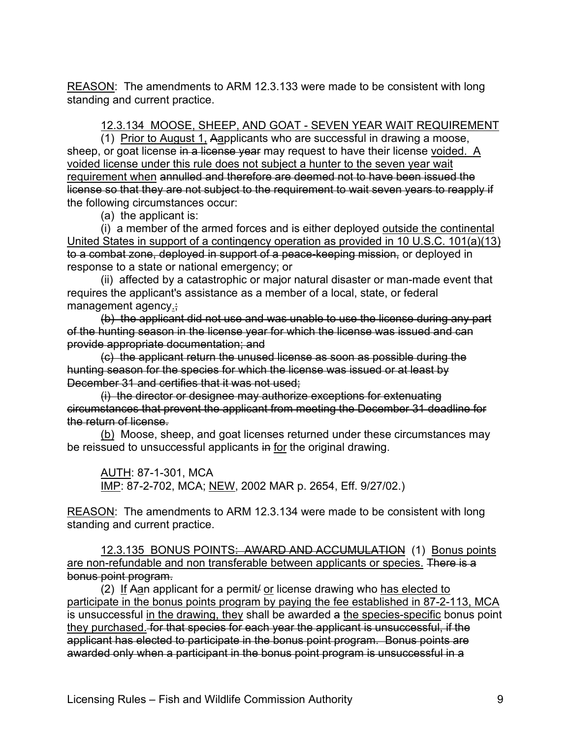REASON: The amendments to ARM 12.3.133 were made to be consistent with long standing and current practice.

12.3.134 MOOSE, SHEEP, AND GOAT - SEVEN YEAR WAIT REQUIREMENT

(1) Prior to August 1, Aapplicants who are successful in drawing a moose, sheep, or goat license in a license year may request to have their license voided. A voided license under this rule does not subject a hunter to the seven year wait requirement when annulled and therefore are deemed not to have been issued the license so that they are not subject to the requirement to wait seven years to reapply if the following circumstances occur:

(a) the applicant is:

(i) a member of the armed forces and is either deployed outside the continental United States in support of a contingency operation as provided in 10 U.S.C. 101(a)(13) to a combat zone, deployed in support of a peace-keeping mission, or deployed in response to a state or national emergency; or

(ii) affected by a catastrophic or major natural disaster or man-made event that requires the applicant's assistance as a member of a local, state, or federal management agency.;

(b) the applicant did not use and was unable to use the license during any part of the hunting season in the license year for which the license was issued and can provide appropriate documentation; and

(c) the applicant return the unused license as soon as possible during the hunting season for the species for which the license was issued or at least by December 31 and certifies that it was not used;

(i) the director or designee may authorize exceptions for extenuating circumstances that prevent the applicant from meeting the December 31 deadline for the return of license.

(b) Moose, sheep, and goat licenses returned under these circumstances may be reissued to unsuccessful applicants in for the original drawing.

AUTH: 87-1-301, MCA IMP: 87-2-702, MCA; NEW, 2002 MAR p. 2654, Eff. 9/27/02.)

REASON: The amendments to ARM 12.3.134 were made to be consistent with long standing and current practice.

12.3.135 BONUS POINTS: AWARD AND ACCUMULATION (1) Bonus points are non-refundable and non transferable between applicants or species. There is a bonus point program.

(2) If Aan applicant for a permit or license drawing who has elected to participate in the bonus points program by paying the fee established in 87-2-113, MCA is unsuccessful in the drawing, they shall be awarded a the species-specific bonus point they purchased. for that species for each year the applicant is unsuccessful, if the applicant has elected to participate in the bonus point program. Bonus points are awarded only when a participant in the bonus point program is unsuccessful in a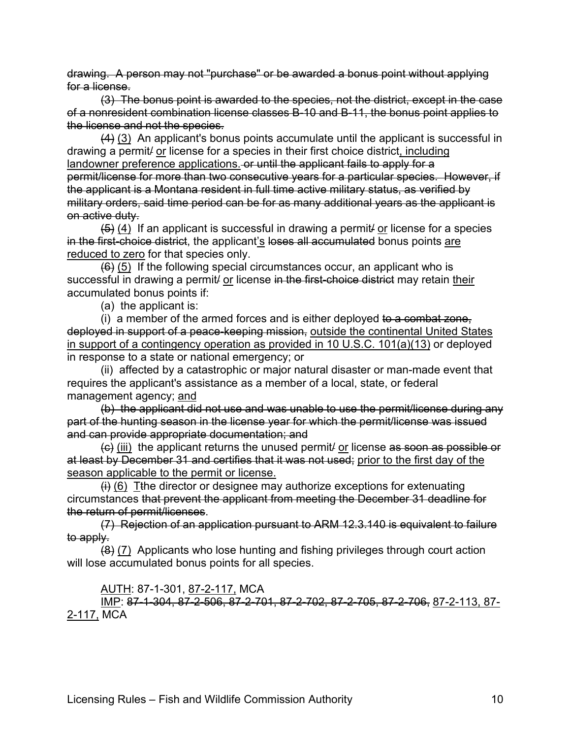drawing. A person may not "purchase" or be awarded a bonus point without applying for a license.

(3) The bonus point is awarded to the species, not the district, except in the case of a nonresident combination license classes B-10 and B-11, the bonus point applies to the license and not the species.

 $(4)$   $(3)$  An applicant's bonus points accumulate until the applicant is successful in drawing a permit/ or license for a species in their first choice district, including landowner preference applications. or until the applicant fails to apply for a permit/license for more than two consecutive years for a particular species. However, if the applicant is a Montana resident in full time active military status, as verified by military orders, said time period can be for as many additional years as the applicant is on active duty.

 $(5)$  (4) If an applicant is successful in drawing a permit or license for a species in the first-choice district, the applicant's loses all accumulated bonus points are reduced to zero for that species only.

 $(6)$  (5) If the following special circumstances occur, an applicant who is successful in drawing a permit/ or license in the first-choice district may retain their accumulated bonus points if:

(a) the applicant is:

(i) a member of the armed forces and is either deployed to a combat zone, deployed in support of a peace-keeping mission, outside the continental United States in support of a contingency operation as provided in 10 U.S.C. 101(a)(13) or deployed in response to a state or national emergency; or

(ii) affected by a catastrophic or major natural disaster or man-made event that requires the applicant's assistance as a member of a local, state, or federal management agency; and

(b) the applicant did not use and was unable to use the permit/license during any part of the hunting season in the license year for which the permit/license was issued and can provide appropriate documentation; and

(c) (iii) the applicant returns the unused permit/ or license as soon as possible or at least by December 31 and certifies that it was not used; prior to the first day of the season applicable to the permit or license.

 $\overline{f}$  (6) T<sub>the</sub> director or designee may authorize exceptions for extenuating circumstances that prevent the applicant from meeting the December 31 deadline for the return of permit/licenses.

(7) Rejection of an application pursuant to ARM 12.3.140 is equivalent to failure to apply.

 $(8)$  (7) Applicants who lose hunting and fishing privileges through court action will lose accumulated bonus points for all species.

AUTH: 87-1-301, 87-2-117, MCA

IMP: 87-1-304, 87-2-506, 87-2-701, 87-2-702, 87-2-705, 87-2-706, 87-2-113, 87- 2-117, MCA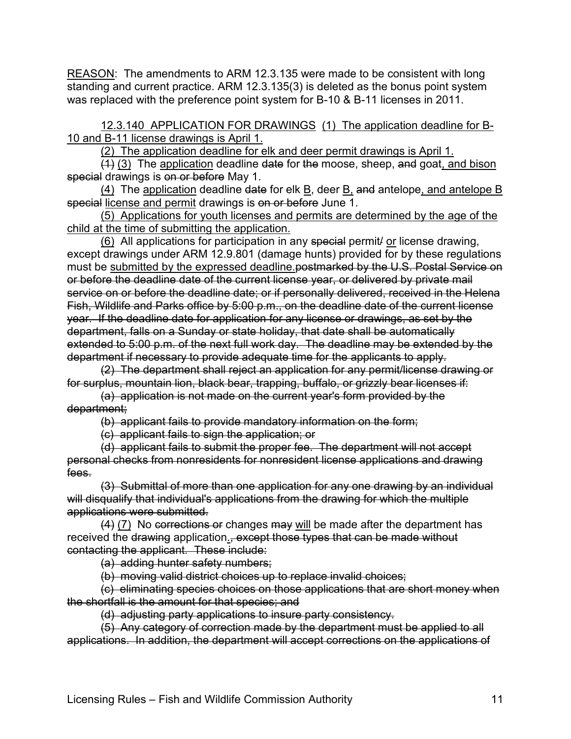REASON: The amendments to ARM 12.3.135 were made to be consistent with long standing and current practice. ARM 12.3.135(3) is deleted as the bonus point system was replaced with the preference point system for B-10 & B-11 licenses in 2011.

12.3.140 APPLICATION FOR DRAWINGS (1) The application deadline for B-10 and B-11 license drawings is April 1.

(2) The application deadline for elk and deer permit drawings is April 1.

 $(1)$  (3) The application deadline date for the moose, sheep, and goat, and bison special drawings is on or before May 1.

(4) The application deadline date for elk B, deer B, and antelope, and antelope B special license and permit drawings is on or before June 1.

(5) Applications for youth licenses and permits are determined by the age of the child at the time of submitting the application.

(6) All applications for participation in any special permit/ or license drawing, except drawings under ARM 12.9.801 (damage hunts) provided for by these regulations must be submitted by the expressed deadline.postmarked by the U.S. Postal Service on or before the deadline date of the current license year, or delivered by private mail service on or before the deadline date; or if personally delivered, received in the Helena Fish, Wildlife and Parks office by 5:00 p.m., on the deadline date of the current license year. If the deadline date for application for any license or drawings, as set by the department, falls on a Sunday or state holiday, that date shall be automatically extended to 5:00 p.m. of the next full work day. The deadline may be extended by the department if necessary to provide adequate time for the applicants to apply.

(2) The department shall reject an application for any permit/license drawing or for surplus, mountain lion, black bear, trapping, buffalo, or grizzly bear licenses if:

(a) application is not made on the current year's form provided by the department;

(b) applicant fails to provide mandatory information on the form;

(c) applicant fails to sign the application; or

(d) applicant fails to submit the proper fee. The department will not accept personal checks from nonresidents for nonresident license applications and drawing fees.

(3) Submittal of more than one application for any one drawing by an individual will disqualify that individual's applications from the drawing for which the multiple applications were submitted.

 $(4)$  (7) No corrections or changes may will be made after the department has received the drawing application., except those types that can be made without contacting the applicant. These include:

(a) adding hunter safety numbers;

(b) moving valid district choices up to replace invalid choices;

(c) eliminating species choices on those applications that are short money when the shortfall is the amount for that species; and

(d) adjusting party applications to insure party consistency.

(5) Any category of correction made by the department must be applied to all applications. In addition, the department will accept corrections on the applications of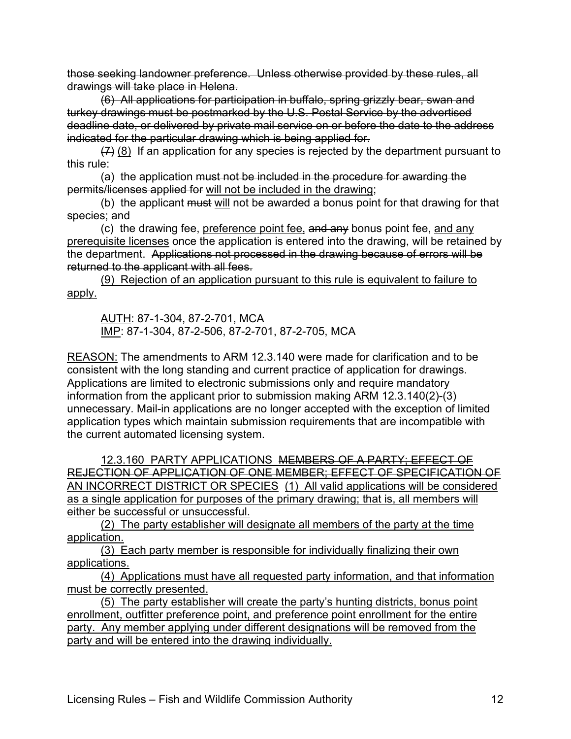those seeking landowner preference. Unless otherwise provided by these rules, all drawings will take place in Helena.

(6) All applications for participation in buffalo, spring grizzly bear, swan and turkey drawings must be postmarked by the U.S. Postal Service by the advertised deadline date, or delivered by private mail service on or before the date to the address indicated for the particular drawing which is being applied for.

 $(7)$  (8) If an application for any species is rejected by the department pursuant to this rule:

(a) the application must not be included in the procedure for awarding the permits/licenses applied for will not be included in the drawing;

(b) the applicant must will not be awarded a bonus point for that drawing for that species; and

(c) the drawing fee, preference point fee, and any bonus point fee, and any prerequisite licenses once the application is entered into the drawing, will be retained by the department. Applications not processed in the drawing because of errors will be returned to the applicant with all fees.

(9) Rejection of an application pursuant to this rule is equivalent to failure to apply.

AUTH: 87-1-304, 87-2-701, MCA IMP: 87-1-304, 87-2-506, 87-2-701, 87-2-705, MCA

REASON: The amendments to ARM 12.3.140 were made for clarification and to be consistent with the long standing and current practice of application for drawings. Applications are limited to electronic submissions only and require mandatory information from the applicant prior to submission making ARM 12.3.140(2)-(3) unnecessary. Mail-in applications are no longer accepted with the exception of limited application types which maintain submission requirements that are incompatible with the current automated licensing system.

12.3.160 PARTY APPLICATIONS MEMBERS OF A PARTY; EFFECT OF REJECTION OF APPLICATION OF ONE MEMBER; EFFECT OF SPECIFICATION OF AN INCORRECT DISTRICT OR SPECIES (1) All valid applications will be considered as a single application for purposes of the primary drawing; that is, all members will either be successful or unsuccessful.

(2) The party establisher will designate all members of the party at the time application.

(3) Each party member is responsible for individually finalizing their own applications.

(4) Applications must have all requested party information, and that information must be correctly presented.

(5) The party establisher will create the party's hunting districts, bonus point enrollment, outfitter preference point, and preference point enrollment for the entire party. Any member applying under different designations will be removed from the party and will be entered into the drawing individually.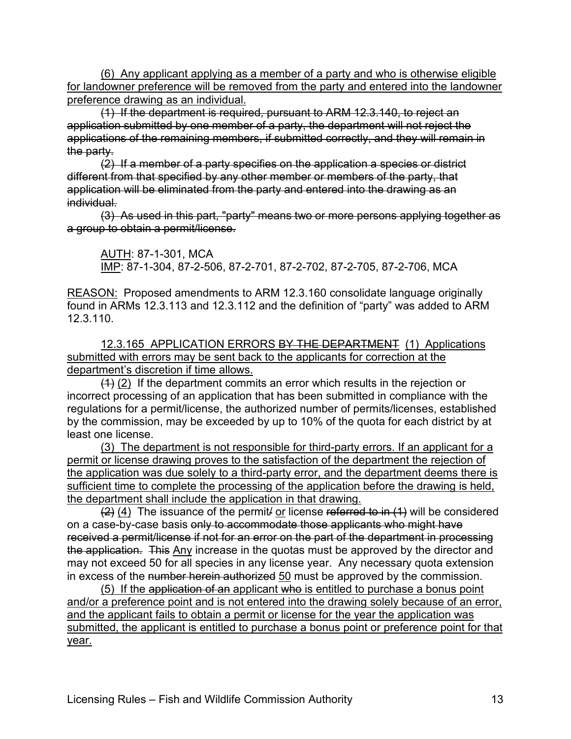(6) Any applicant applying as a member of a party and who is otherwise eligible for landowner preference will be removed from the party and entered into the landowner preference drawing as an individual.

(1) If the department is required, pursuant to ARM 12.3.140, to reject an application submitted by one member of a party, the department will not reject the applications of the remaining members, if submitted correctly, and they will remain in the party.

(2) If a member of a party specifies on the application a species or district different from that specified by any other member or members of the party, that application will be eliminated from the party and entered into the drawing as an individual.

(3) As used in this part, "party" means two or more persons applying together as a group to obtain a permit/license.

AUTH: 87-1-301, MCA IMP: 87-1-304, 87-2-506, 87-2-701, 87-2-702, 87-2-705, 87-2-706, MCA

REASON: Proposed amendments to ARM 12.3.160 consolidate language originally found in ARMs 12.3.113 and 12.3.112 and the definition of "party" was added to ARM 12.3.110.

12.3.165 APPLICATION ERRORS BY THE DEPARTMENT (1) Applications submitted with errors may be sent back to the applicants for correction at the department's discretion if time allows.

 $(1)$  (2) If the department commits an error which results in the rejection or incorrect processing of an application that has been submitted in compliance with the regulations for a permit/license, the authorized number of permits/licenses, established by the commission, may be exceeded by up to 10% of the quota for each district by at least one license.

(3) The department is not responsible for third-party errors. If an applicant for a permit or license drawing proves to the satisfaction of the department the rejection of the application was due solely to a third-party error, and the department deems there is sufficient time to complete the processing of the application before the drawing is held, the department shall include the application in that drawing.

 $(2)$  (4) The issuance of the permit/ or license referred to in (1) will be considered on a case-by-case basis only to accommodate those applicants who might have received a permit/license if not for an error on the part of the department in processing the application. This Any increase in the quotas must be approved by the director and may not exceed 50 for all species in any license year. Any necessary quota extension in excess of the number herein authorized 50 must be approved by the commission.

(5) If the application of an applicant who is entitled to purchase a bonus point and/or a preference point and is not entered into the drawing solely because of an error, and the applicant fails to obtain a permit or license for the year the application was submitted, the applicant is entitled to purchase a bonus point or preference point for that year.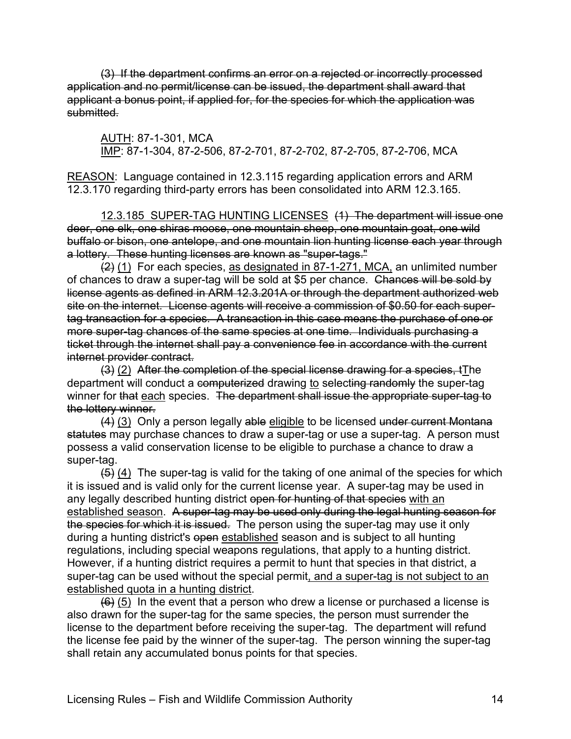(3) If the department confirms an error on a rejected or incorrectly processed application and no permit/license can be issued, the department shall award that applicant a bonus point, if applied for, for the species for which the application was submitted.

AUTH: 87-1-301, MCA IMP: 87-1-304, 87-2-506, 87-2-701, 87-2-702, 87-2-705, 87-2-706, MCA

REASON: Language contained in 12.3.115 regarding application errors and ARM 12.3.170 regarding third-party errors has been consolidated into ARM 12.3.165.

12.3.185 SUPER-TAG HUNTING LICENSES (1) The department will issue one deer, one elk, one shiras moose, one mountain sheep, one mountain goat, one wild buffalo or bison, one antelope, and one mountain lion hunting license each year through a lottery. These hunting licenses are known as "super-tags."

(2) (1) For each species, as designated in 87-1-271, MCA, an unlimited number of chances to draw a super-tag will be sold at \$5 per chance. Chances will be sold by license agents as defined in ARM 12.3.201A or through the department authorized web site on the internet. License agents will receive a commission of \$0.50 for each supertag transaction for a species. A transaction in this case means the purchase of one or more super-tag chances of the same species at one time. Individuals purchasing a ticket through the internet shall pay a convenience fee in accordance with the current internet provider contract.

(3) (2) After the completion of the special license drawing for a species, tThe department will conduct a computerized drawing to selecting randomly the super-tag winner for that each species. The department shall issue the appropriate super-tag to the lottery winner.

(4) (3) Only a person legally able eligible to be licensed under current Montana statutes may purchase chances to draw a super-tag or use a super-tag. A person must possess a valid conservation license to be eligible to purchase a chance to draw a super-tag.

 $(5)$  (4) The super-tag is valid for the taking of one animal of the species for which it is issued and is valid only for the current license year. A super-tag may be used in any legally described hunting district open for hunting of that species with an established season. A super-tag may be used only during the legal hunting season for the species for which it is issued. The person using the super-tag may use it only during a hunting district's open established season and is subject to all hunting regulations, including special weapons regulations, that apply to a hunting district. However, if a hunting district requires a permit to hunt that species in that district, a super-tag can be used without the special permit, and a super-tag is not subject to an established quota in a hunting district.

 $(6)$  (5) In the event that a person who drew a license or purchased a license is also drawn for the super-tag for the same species, the person must surrender the license to the department before receiving the super-tag. The department will refund the license fee paid by the winner of the super-tag. The person winning the super-tag shall retain any accumulated bonus points for that species.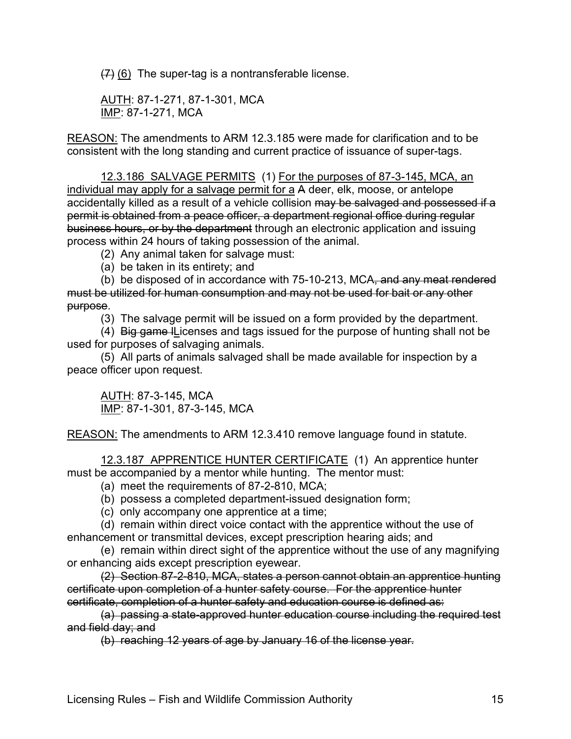$(7)$  (6) The super-tag is a nontransferable license.

AUTH: 87-1-271, 87-1-301, MCA IMP: 87-1-271, MCA

REASON: The amendments to ARM 12.3.185 were made for clarification and to be consistent with the long standing and current practice of issuance of super-tags.

12.3.186 SALVAGE PERMITS (1) For the purposes of 87-3-145, MCA, an individual may apply for a salvage permit for a A deer, elk, moose, or antelope accidentally killed as a result of a vehicle collision may be salvaged and possessed if a permit is obtained from a peace officer, a department regional office during regular business hours, or by the department through an electronic application and issuing process within 24 hours of taking possession of the animal.

(2) Any animal taken for salvage must:

(a) be taken in its entirety; and

(b) be disposed of in accordance with 75-10-213, MCA, and any meat rendered must be utilized for human consumption and may not be used for bait or any other purpose.

(3) The salvage permit will be issued on a form provided by the department.

(4) Big game lLicenses and tags issued for the purpose of hunting shall not be used for purposes of salvaging animals.

(5) All parts of animals salvaged shall be made available for inspection by a peace officer upon request.

AUTH: 87-3-145, MCA IMP: 87-1-301, 87-3-145, MCA

REASON: The amendments to ARM 12.3.410 remove language found in statute.

12.3.187 APPRENTICE HUNTER CERTIFICATE (1) An apprentice hunter must be accompanied by a mentor while hunting. The mentor must:

(a) meet the requirements of 87-2-810, MCA;

(b) possess a completed department-issued designation form;

(c) only accompany one apprentice at a time;

(d) remain within direct voice contact with the apprentice without the use of enhancement or transmittal devices, except prescription hearing aids; and

(e) remain within direct sight of the apprentice without the use of any magnifying or enhancing aids except prescription eyewear.

(2) Section 87-2-810, MCA, states a person cannot obtain an apprentice hunting certificate upon completion of a hunter safety course. For the apprentice hunter certificate, completion of a hunter safety and education course is defined as:

(a) passing a state-approved hunter education course including the required test and field day; and

(b) reaching 12 years of age by January 16 of the license year.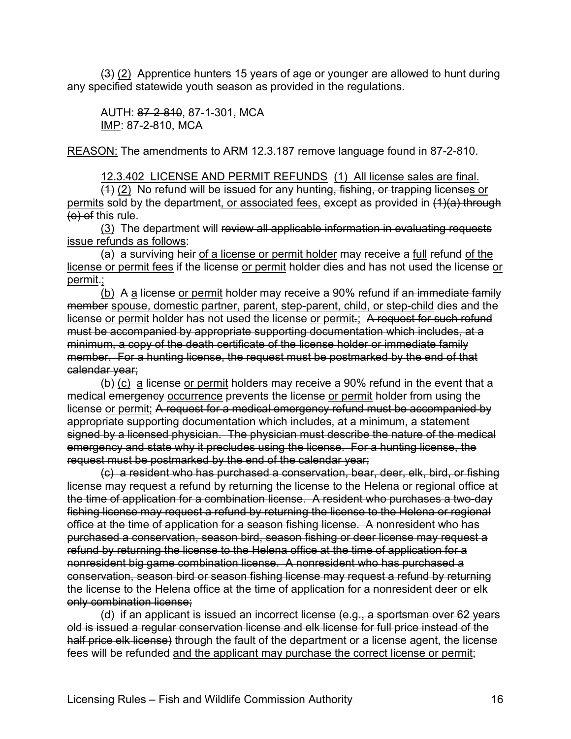$(3)$  (2) Apprentice hunters 15 years of age or younger are allowed to hunt during any specified statewide youth season as provided in the regulations.

AUTH: 87-2-810, 87-1-301, MCA IMP: 87-2-810, MCA

REASON: The amendments to ARM 12.3.187 remove language found in 87-2-810.

12.3.402 LICENSE AND PERMIT REFUNDS (1) All license sales are final.

 $(4)$  (2) No refund will be issued for any hunting, fishing, or trapping licenses or permits sold by the department, or associated fees, except as provided in (1)(a) through (e) of this rule.

(3) The department will review all applicable information in evaluating requests issue refunds as follows:

(a) a surviving heir of a license or permit holder may receive a full refund of the license or permit fees if the license or permit holder dies and has not used the license or permit.;

(b) A a license or permit holder may receive a 90% refund if an immediate family member spouse, domestic partner, parent, step-parent, child, or step-child dies and the license or permit holder has not used the license or permit.; A request for such refund must be accompanied by appropriate supporting documentation which includes, at a minimum, a copy of the death certificate of the license holder or immediate family member. For a hunting license, the request must be postmarked by the end of that calendar year;

 $(b)$  (c) a license or permit holders may receive a 90% refund in the event that a medical emergency occurrence prevents the license or permit holder from using the license or permit; A request for a medical emergency refund must be accompanied by appropriate supporting documentation which includes, at a minimum, a statement signed by a licensed physician. The physician must describe the nature of the medical emergency and state why it precludes using the license. For a hunting license, the request must be postmarked by the end of the calendar year;

(c) a resident who has purchased a conservation, bear, deer, elk, bird, or fishing license may request a refund by returning the license to the Helena or regional office at the time of application for a combination license. A resident who purchases a two-day fishing license may request a refund by returning the license to the Helena or regional office at the time of application for a season fishing license. A nonresident who has purchased a conservation, season bird, season fishing or deer license may request a refund by returning the license to the Helena office at the time of application for a nonresident big game combination license. A nonresident who has purchased a conservation, season bird or season fishing license may request a refund by returning the license to the Helena office at the time of application for a nonresident deer or elk only combination license;

(d) if an applicant is issued an incorrect license  $(e.g., a$  sportsman over 62 years old is issued a regular conservation license and elk license for full price instead of the half price elk license) through the fault of the department or a license agent, the license fees will be refunded and the applicant may purchase the correct license or permit;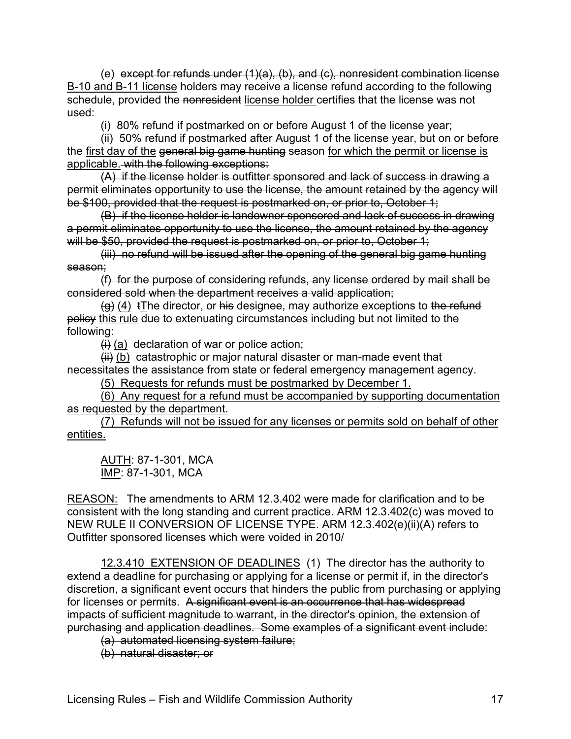(e) except for refunds under (1)(a), (b), and (c), nonresident combination license B-10 and B-11 license holders may receive a license refund according to the following schedule, provided the nonresident license holder certifies that the license was not used:

(i) 80% refund if postmarked on or before August 1 of the license year;

(ii) 50% refund if postmarked after August 1 of the license year, but on or before the first day of the general big game hunting season for which the permit or license is applicable. with the following exceptions:

(A) if the license holder is outfitter sponsored and lack of success in drawing a permit eliminates opportunity to use the license, the amount retained by the agency will be \$100, provided that the request is postmarked on, or prior to, October 1;

(B) if the license holder is landowner sponsored and lack of success in drawing a permit eliminates opportunity to use the license, the amount retained by the agency will be \$50, provided the request is postmarked on, or prior to, October 1;

(iii) no refund will be issued after the opening of the general big game hunting season;

(f) for the purpose of considering refunds, any license ordered by mail shall be considered sold when the department receives a valid application;

 $(g)$  (4) tThe director, or his designee, may authorize exceptions to the refund policy this rule due to extenuating circumstances including but not limited to the following:

 $\left\langle i\right\rangle$  (a) declaration of war or police action;

 $(H)$  (b) catastrophic or major natural disaster or man-made event that necessitates the assistance from state or federal emergency management agency.

(5) Requests for refunds must be postmarked by December 1.

(6) Any request for a refund must be accompanied by supporting documentation as requested by the department.

(7) Refunds will not be issued for any licenses or permits sold on behalf of other entities.

AUTH: 87-1-301, MCA IMP: 87-1-301, MCA

REASON: The amendments to ARM 12.3.402 were made for clarification and to be consistent with the long standing and current practice. ARM 12.3.402(c) was moved to NEW RULE II CONVERSION OF LICENSE TYPE. ARM 12.3.402(e)(ii)(A) refers to Outfitter sponsored licenses which were voided in 2010/

12.3.410 EXTENSION OF DEADLINES (1) The director has the authority to extend a deadline for purchasing or applying for a license or permit if, in the director's discretion, a significant event occurs that hinders the public from purchasing or applying for licenses or permits. A significant event is an occurrence that has widespread impacts of sufficient magnitude to warrant, in the director's opinion, the extension of purchasing and application deadlines. Some examples of a significant event include:

(a) automated licensing system failure;

(b) natural disaster; or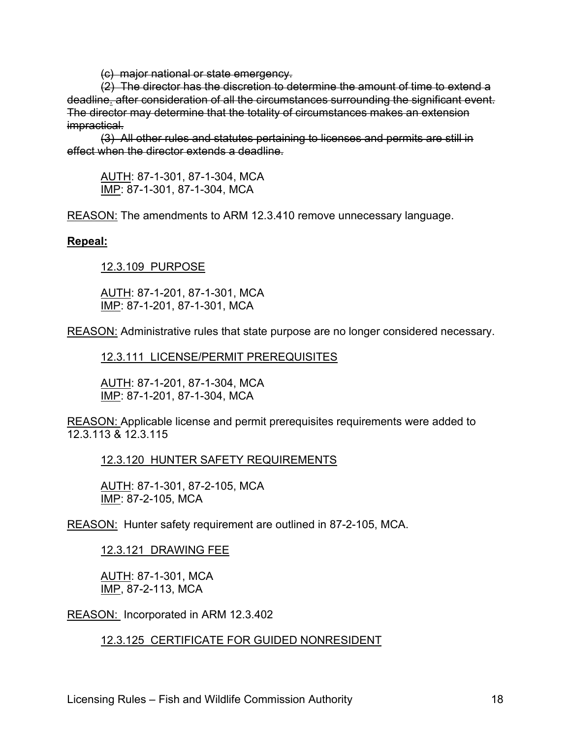(c) major national or state emergency.

(2) The director has the discretion to determine the amount of time to extend a deadline. after consideration of all the circumstances surrounding the significant event. The director may determine that the totality of circumstances makes an extension impractical.

(3) All other rules and statutes pertaining to licenses and permits are still in effect when the director extends a deadline

AUTH: 87-1-301, 87-1-304, MCA IMP: 87-1-301, 87-1-304, MCA

REASON: The amendments to ARM 12.3.410 remove unnecessary language.

## **Repeal:**

12.3.109 PURPOSE

AUTH: 87-1-201, 87-1-301, MCA IMP: 87-1-201, 87-1-301, MCA

REASON: Administrative rules that state purpose are no longer considered necessary.

12.3.111 LICENSE/PERMIT PREREQUISITES

AUTH: 87-1-201, 87-1-304, MCA IMP: 87-1-201, 87-1-304, MCA

REASON: Applicable license and permit prerequisites requirements were added to 12.3.113 & 12.3.115

12.3.120 HUNTER SAFETY REQUIREMENTS

AUTH: 87-1-301, 87-2-105, MCA IMP: 87-2-105, MCA

REASON: Hunter safety requirement are outlined in 87-2-105, MCA.

12.3.121 DRAWING FEE

AUTH: 87-1-301, MCA IMP, 87-2-113, MCA

REASON: Incorporated in ARM 12.3.402

12.3.125 CERTIFICATE FOR GUIDED NONRESIDENT